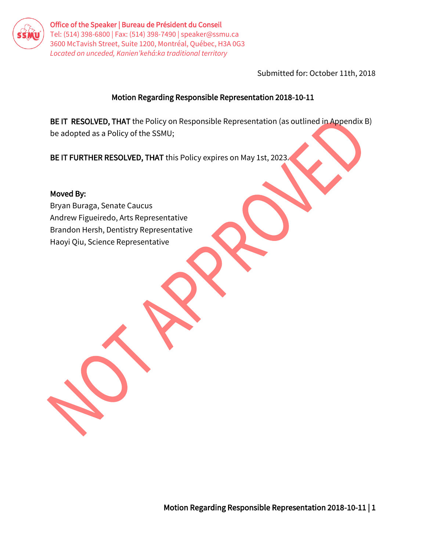

Office of the Speaker | Bureau de Président du Conseil Tel: (514) 398-6800 | Fax: (514) 398-7490 | speaker@ssmu.ca 3600 McTavish Street, Suite 1200, Montréal, Québec, H3A 0G3 *Located on unceded, Kanien'kehá:ka traditional territory* 

Submitted for: October 11th, 2018

### Motion Regarding Responsible Representation 2018-10-11

BE IT RESOLVED, THAT the Policy on Responsible Representation (as outlined in Appendix B) be adopted as a Policy of the SSMU;

BE IT FURTHER RESOLVED, THAT this Policy expires on May 1st, 2023.

#### Moved By:

Bryan Buraga, Senate Caucus Andrew Figueiredo, Arts Representative Brandon Hersh, Dentistry Representative Haoyi Qiu, Science Representative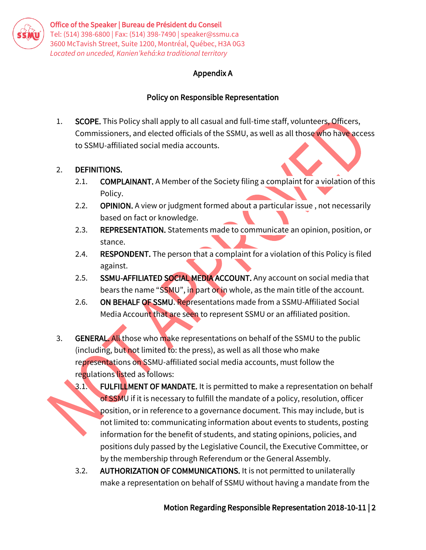

## Appendix A

# Policy on Responsible Representation

1. SCOPE. This Policy shall apply to all casual and full-time staff, volunteers. Officers, Commissioners, and elected officials of the SSMU, as well as all those who have access to SSMU-affiliated social media accounts.

# 2. DEFINITIONS.

- 2.1. **COMPLAINANT.** A Member of the Society filing a complaint for a violation of this Policy.
- 2.2. **OPINION.** A view or judgment formed about a particular issue, not necessarily based on fact or knowledge.
- 2.3. REPRESENTATION. Statements made to communicate an opinion, position, or stance.
- 2.4. RESPONDENT. The person that a complaint for a violation of this Policy is filed against.
- 2.5. SSMU-AFFILIATED SOCIAL MEDIA ACCOUNT. Any account on social media that bears the name "SSMU", in part or in whole, as the main title of the account.
- 2.6. ON BEHALF OF SSMU. Representations made from a SSMU-Affiliated Social Media Account that are seen to represent SSMU or an affiliated position.
- 3. **GENERAL.** All those who make representations on behalf of the SSMU to the public (including, but not limited to: the press), as well as all those who make representations on SSMU-affiliated social media accounts, must follow the regulations listed as follows:
	- 3.1. FULFILLMENT OF MANDATE. It is permitted to make a representation on behalf of SSMU if it is necessary to fulfill the mandate of a policy, resolution, officer position, or in reference to a governance document. This may include, but is not limited to: communicating information about events to students, posting information for the benefit of students, and stating opinions, policies, and positions duly passed by the Legislative Council, the Executive Committee, or by the membership through Referendum or the General Assembly.
	- 3.2. AUTHORIZATION OF COMMUNICATIONS. It is not permitted to unilaterally make a representation on behalf of SSMU without having a mandate from the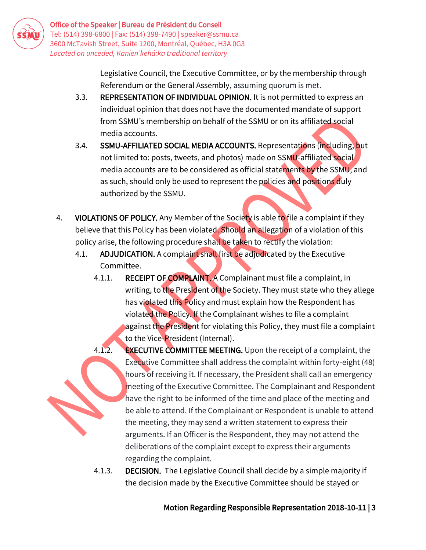

Legislative Council, the Executive Committee, or by the membership through Referendum or the General Assembly, assuming quorum is met.

- 3.3. REPRESENTATION OF INDIVIDUAL OPINION. It is not permitted to express an individual opinion that does not have the documented mandate of support from SSMU's membership on behalf of the SSMU or on its affiliated social media accounts.
- 3.4. SSMU-AFFILIATED SOCIAL MEDIA ACCOUNTS. Representations (including, but not limited to: posts, tweets, and photos) made on SSMU-affiliated social media accounts are to be considered as official statements by the SSMU, and as such, should only be used to represent the policies and positions duly authorized by the SSMU.
- 4. VIOLATIONS OF POLICY. Any Member of the Society is able to file a complaint if they believe that this Policy has been violated. Should an allegation of a violation of this policy arise, the following procedure shall be taken to rectify the violation:
	- 4.1. ADJUDICATION. A complaint shall first be adjudicated by the Executive Committee.
		- 4.1.1. RECEIPT OF COMPLAINT. A Complainant must file a complaint, in writing, to the President of the Society. They must state who they allege has violated this Policy and must explain how the Respondent has violated the Policy. If the Complainant wishes to file a complaint against the President for violating this Policy, they must file a complaint to the Vice-President (Internal).
		- 4.1.2. **EXECUTIVE COMMITTEE MEETING.** Upon the receipt of a complaint, the Executive Committee shall address the complaint within forty-eight (48) hours of receiving it. If necessary, the President shall call an emergency meeting of the Executive Committee. The Complainant and Respondent have the right to be informed of the time and place of the meeting and be able to attend. If the Complainant or Respondent is unable to attend the meeting, they may send a written statement to express their arguments. If an Officer is the Respondent, they may not attend the deliberations of the complaint except to express their arguments regarding the complaint.
		- 4.1.3. DECISION. The Legislative Council shall decide by a simple majority if the decision made by the Executive Committee should be stayed or